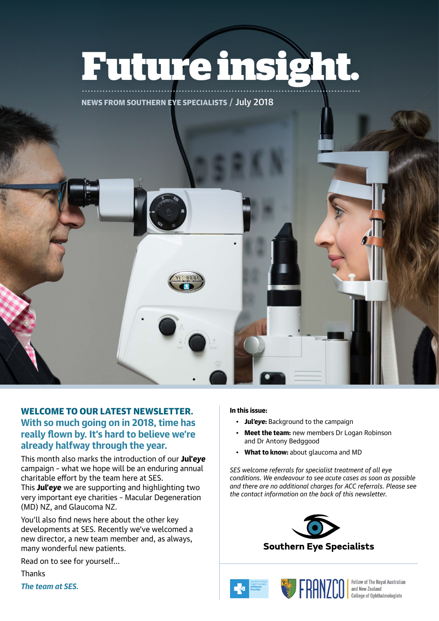# **Future insight.**

NEWS FROM SOUTHERN EYE SPECIALISTS / July 2018

WELCOME TO OUR LATEST NEWSLETTER. **With so much going on in 2018, time has really flown by. It's hard to believe we're already halfway through the year.**

This month also marks the introduction of our Jul'*eye* campaign – what we hope will be an enduring annual charitable effort by the team here at SES.

This Jul'*eye* we are supporting and highlighting two very important eye charities – Macular Degeneration (MD) NZ, and Glaucoma NZ.

You'll also find news here about the other key developments at SES. Recently we've welcomed a new director, a new team member and, as always, many wonderful new patients.

Read on to see for yourself…

**Thanks** 

*The team at SES.*

## In this issue:

- Jul'*eye*: Background to the campaign
- Meet the team: new members Dr Logan Robinson and Dr Antony Bedggood
- What to know: about glaucoma and MD

*SES welcome referrals for specialist treatment of all eye conditions. We endeavour to see acute cases as soon as possible and there are no additional charges for ACC referrals. Please see the contact information on the back of this newsletter.*





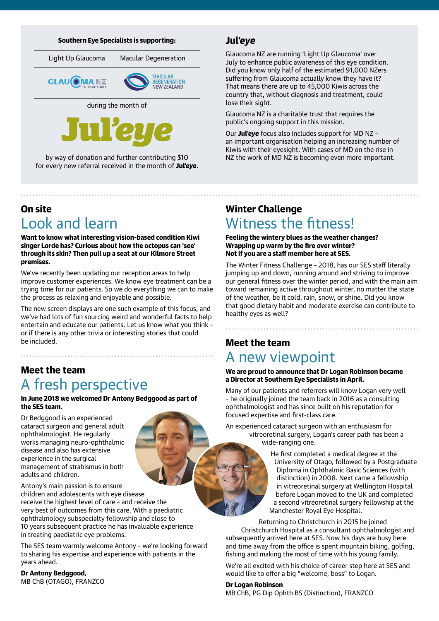#### Southern Eye Specialists is supporting:

Light Up Glaucoma Macular Degeneration





during the month of



by way of donation and further contributing \$10 for every new referral received in the month of Jul'*eye*.

# On site Look and learn

Want to know what interesting vision-based condition Kiwi singer Lorde has? Curious about how the octopus can 'see' through its skin? Then pull up a seat at our Kilmore Street premises.

We've recently been updating our reception areas to help improve customer experiences. We know eye treatment can be a trying time for our patients. So we do everything we can to make the process as relaxing and enjoyable and possible.

The new screen displays are one such example of this focus, and we've had lots of fun sourcing weird and wonderful facts to help entertain and educate our patients. Let us know what you think – or if there is any other trivia or interesting stories that could be included.

# Meet the team A fresh perspective

In June 2018 we welcomed Dr Antony Bedggood as part of the SES team.

Dr Bedggood is an experienced cataract surgeon and general adult ophthalmologist. He regularly works managing neuro-ophthalmic disease and also has extensive experience in the surgical management of strabismus in both adults and children.

Antony's main passion is to ensure children and adolescents with eye disease receive the highest level of care – and receive the very best of outcomes from this care. With a paediatric ophthalmology subspecialty fellowship and close to 10 years subsequent practice he has invaluable experience in treating paediatric eye problems.

The SES team warmly welcome Antony – we're looking forward to sharing his expertise and experience with patients in the years ahead.

# Dr Antony Bedggood,

MB ChB (OTAGO), FRANZCO

## Jul'*eye*

Glaucoma NZ are running 'Light Up Glaucoma' over July to enhance public awareness of this eye condition. Did you know only half of the estimated 91,000 NZers suffering from Glaucoma actually know they have it? That means there are up to 45,000 Kiwis across the country that, without diagnosis and treatment, could lose their sight.

Glaucoma NZ is a charitable trust that requires the public's ongoing support in this mission.

Our Jul'*eye* focus also includes support for MD NZ – an important organisation helping an increasing number of Kiwis with their eyesight. With cases of MD on the rise in NZ the work of MD NZ is becoming even more important.

## Winter Challenge Witness the fitness!

#### Feeling the wintery blues as the weather changes? Wrapping up warm by the fire over winter? Not if you are a staff member here at SES.

The Winter Fitness Challenge – 2018, has our SES staff literally jumping up and down, running around and striving to improve our general fitness over the winter period, and with the main aim toward remaining active throughout winter, no matter the state of the weather, be it cold, rain, snow, or shine. Did you know that good dietary habit and moderate exercise can contribute to healthy eyes as well?

# Meet the team A new viewpoint

#### We are proud to announce that Dr Logan Robinson became a Director at Southern Eye Specialists in April.

Many of our patients and referrers will know Logan very well – he originally joined the team back in 2016 as a consulting ophthalmologist and has since built on his reputation for focused expertise and first-class care.

An experienced cataract surgeon with an enthusiasm for vitreoretinal surgery, Logan's career path has been a wide-ranging one.

> He first completed a medical degree at the University of Otago, followed by a Postgraduate Diploma in Ophthalmic Basic Sciences (with distinction) in 2008. Next came a fellowship in vitreoretinal surgery at Wellington Hospital before Logan moved to the UK and completed a second vitreoretinal surgery fellowship at the Manchester Royal Eye Hospital.

Returning to Christchurch in 2015 he joined Christchurch Hospital as a consultant ophthalmologist and subsequently arrived here at SES. Now his days are busy here and time away from the office is spent mountain biking, golfing, fishing and making the most of time with his young family.

We're all excited with his choice of career step here at SES and would like to offer a big "welcome, boss" to Logan.

### Dr Logan Robinson

MB ChB, PG Dip Ophth BS (Distinction), FRANZCO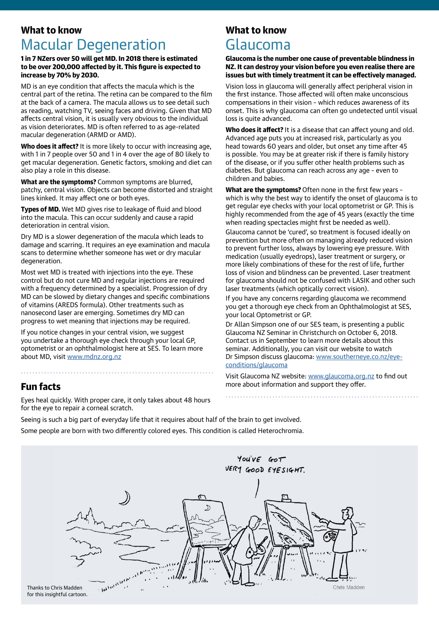## What to know Macular Degeneration

#### 1 in 7 NZers over 50 will get MD. In 2018 there is estimated to be over 200,000 affected by it. This figure is expected to increase by 70% by 2030.

MD is an eye condition that affects the macula which is the central part of the retina. The retina can be compared to the film at the back of a camera. The macula allows us to see detail such as reading, watching TV, seeing faces and driving. Given that MD affects central vision, it is usually very obvious to the individual as vision deteriorates. MD is often referred to as age-related macular degeneration (ARMD or AMD).

Who does it affect? It is more likely to occur with increasing age, with 1 in 7 people over 50 and 1 in 4 over the age of 80 likely to get macular degeneration. Genetic factors, smoking and diet can also play a role in this disease.

What are the symptoms? Common symptoms are blurred, patchy, central vision. Objects can become distorted and straight lines kinked. It may affect one or both eyes.

Types of MD. Wet MD gives rise to leakage of fluid and blood into the macula. This can occur suddenly and cause a rapid deterioration in central vision.

Dry MD is a slower degeneration of the macula which leads to damage and scarring. It requires an eye examination and macula scans to determine whether someone has wet or dry macular degeneration.

Most wet MD is treated with injections into the eye. These control but do not cure MD and regular injections are required with a frequency determined by a specialist. Progression of dry MD can be slowed by dietary changes and specific combinations of vitamins (AREDS formula). Other treatments such as nanosecond laser are emerging. Sometimes dry MD can progress to wet meaning that injections may be required.

If you notice changes in your central vision, we suggest you undertake a thorough eye check through your local GP, optometrist or an ophthalmologist here at SES. To learn more about MD, visit [www.mdnz.org.nz](http://www.mdnz.org.nz)

## Fun facts

Eyes heal quickly. With proper care, it only takes about 48 hours for the eye to repair a corneal scratch.

## What to know

# Glaucoma

Glaucoma is the number one cause of preventable blindness in NZ. It can destroy your vision before you even realise there are issues but with timely treatment it can be effectively managed.

Vision loss in glaucoma will generally affect peripheral vision in the first instance. Those affected will often make unconscious compensations in their vision – which reduces awareness of its onset. This is why glaucoma can often go undetected until visual loss is quite advanced.

Who does it affect? It is a disease that can affect young and old. Advanced age puts you at increased risk, particularly as you head towards 60 years and older, but onset any time after 45 is possible. You may be at greater risk if there is family history of the disease, or if you suffer other health problems such as diabetes. But glaucoma can reach across any age – even to children and babies.

What are the symptoms? Often none in the first few years which is why the best way to identify the onset of glaucoma is to get regular eye checks with your local optometrist or GP. This is highly recommended from the age of 45 years (exactly the time when reading spectacles might first be needed as well).

Glaucoma cannot be 'cured', so treatment is focused ideally on prevention but more often on managing already reduced vision to prevent further loss, always by lowering eye pressure. With medication (usually eyedrops), laser treatment or surgery, or more likely combinations of these for the rest of life, further loss of vision and blindness can be prevented. Laser treatment for glaucoma should not be confused with LASIK and other such laser treatments (which optically correct vision).

If you have any concerns regarding glaucoma we recommend you get a thorough eye check from an Ophthalmologist at SES, your local Optometrist or GP.

Dr Allan Simpson one of our SES team, is presenting a public Glaucoma NZ Seminar in Christchurch on October 6, 2018. Contact us in September to learn more details about this seminar. Additionally, you can visit our website to watch Dr Simpson discuss glaucoma: [www.southerneye.co.nz/eye](http://www.southerneye.co.nz/eye-conditions/glaucoma )[conditions/glaucoma](http://www.southerneye.co.nz/eye-conditions/glaucoma )

Visit Glaucoma NZ website: [www.glaucoma.org.nz](http://www.glaucoma.org.nz) to find out more about information and support they offer.

Seeing is such a big part of everyday life that it requires about half of the brain to get involved. Some people are born with two differently colored eyes. This condition is called Heterochromia.